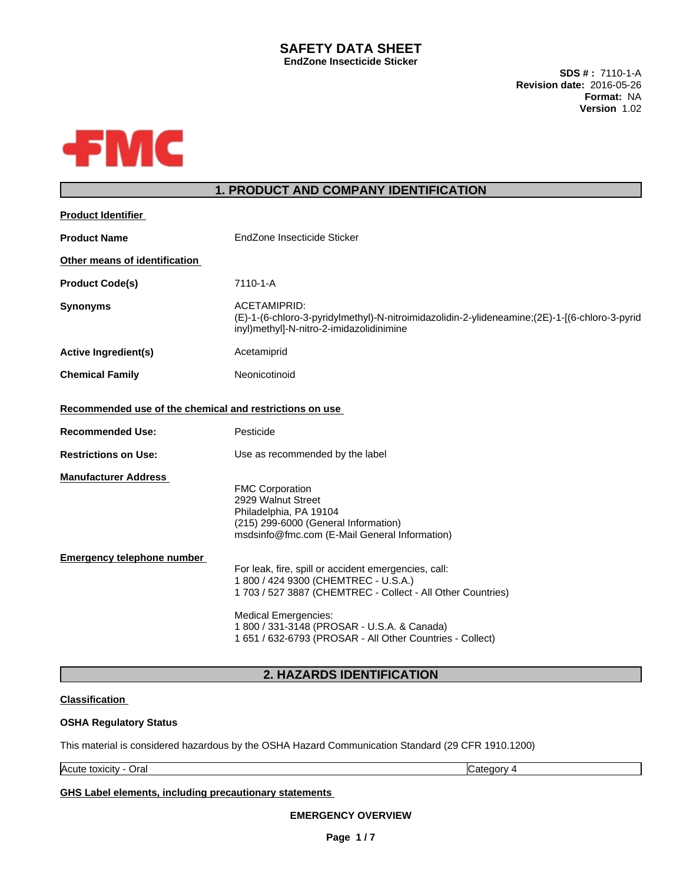### **SAFETY DATA SHEET EndZone Insecticide Sticker**

**SDS # :** 7110-1-A **Revision date:** 2016-05-26 **Format:** NA **Version** 1.02



# **1. PRODUCT AND COMPANY IDENTIFICATION**

| <b>Product Identifier</b>                                                          |                                                                                                                                                                                                                                                                                                        |
|------------------------------------------------------------------------------------|--------------------------------------------------------------------------------------------------------------------------------------------------------------------------------------------------------------------------------------------------------------------------------------------------------|
| <b>Product Name</b>                                                                | EndZone Insecticide Sticker                                                                                                                                                                                                                                                                            |
| Other means of identification                                                      |                                                                                                                                                                                                                                                                                                        |
| <b>Product Code(s)</b>                                                             | 7110-1-A                                                                                                                                                                                                                                                                                               |
| Synonyms                                                                           | ACETAMIPRID:<br>(E)-1-(6-chloro-3-pyridylmethyl)-N-nitroimidazolidin-2-ylideneamine;(2E)-1-((6-chloro-3-pyrid<br>inyl)methyl]-N-nitro-2-imidazolidinimine                                                                                                                                              |
| <b>Active Ingredient(s)</b>                                                        | Acetamiprid                                                                                                                                                                                                                                                                                            |
| <b>Chemical Family</b>                                                             | Neonicotinoid                                                                                                                                                                                                                                                                                          |
| Recommended use of the chemical and restrictions on use<br><b>Recommended Use:</b> | Pesticide                                                                                                                                                                                                                                                                                              |
| <b>Restrictions on Use:</b>                                                        | Use as recommended by the label                                                                                                                                                                                                                                                                        |
| <b>Manufacturer Address</b>                                                        | <b>FMC Corporation</b><br>2929 Walnut Street<br>Philadelphia, PA 19104<br>(215) 299-6000 (General Information)<br>msdsinfo@fmc.com (E-Mail General Information)                                                                                                                                        |
| Emergency telephone number                                                         | For leak, fire, spill or accident emergencies, call:<br>1 800 / 424 9300 (CHEMTREC - U.S.A.)<br>1 703 / 527 3887 (CHEMTREC - Collect - All Other Countries)<br><b>Medical Emergencies:</b><br>1 800 / 331-3148 (PROSAR - U.S.A. & Canada)<br>1 651 / 632-6793 (PROSAR - All Other Countries - Collect) |
|                                                                                    |                                                                                                                                                                                                                                                                                                        |

# **2. HAZARDS IDENTIFICATION**

#### **Classification**

#### **OSHA Regulatory Status**

This material is considered hazardous by the OSHA Hazard Communication Standard (29 CFR 1910.1200)

Acute toxicity - Oral Category 4

#### **GHS Label elements, including precautionary statements**

**EMERGENCY OVERVIEW**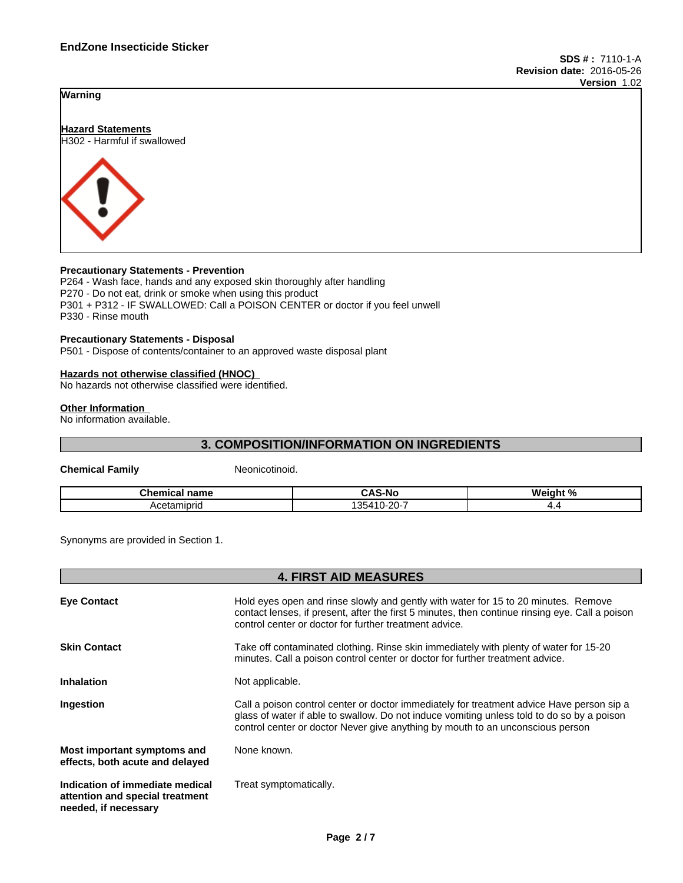



#### **Precautionary Statements - Prevention**

P264 - Wash face, hands and any exposed skin thoroughly after handling P270 - Do not eat, drink or smoke when using this product P301 + P312 - IF SWALLOWED: Call a POISON CENTER or doctor if you feel unwell P330 - Rinse mouth

#### **Precautionary Statements - Disposal**

P501 - Dispose of contents/container to an approved waste disposal plant

#### **Hazards not otherwise classified (HNOC)**

No hazards not otherwise classified were identified.

#### **Other Information**

No information available.

# **3. COMPOSITION/INFORMATION ON INGREDIENTS**

**Chemical Family** Neonicotinoid.

| Chemical<br>name | ົAS-No                                                                   | 1. N /<br><b>Wainh</b><br>. |
|------------------|--------------------------------------------------------------------------|-----------------------------|
| Acetamipric      | $\sim$ $\sim$<br>351<br>.14C<br>1-21 I-<br>້<br>$\overline{\phantom{a}}$ | . .                         |

Synonyms are provided in Section 1.

|                                                                                            | <b>4. FIRST AID MEASURES</b>                                                                                                                                                                                                                                              |
|--------------------------------------------------------------------------------------------|---------------------------------------------------------------------------------------------------------------------------------------------------------------------------------------------------------------------------------------------------------------------------|
| <b>Eve Contact</b>                                                                         | Hold eyes open and rinse slowly and gently with water for 15 to 20 minutes. Remove<br>contact lenses, if present, after the first 5 minutes, then continue rinsing eye. Call a poison<br>control center or doctor for further treatment advice.                           |
| <b>Skin Contact</b>                                                                        | Take off contaminated clothing. Rinse skin immediately with plenty of water for 15-20<br>minutes. Call a poison control center or doctor for further treatment advice.                                                                                                    |
| <b>Inhalation</b>                                                                          | Not applicable.                                                                                                                                                                                                                                                           |
| Ingestion                                                                                  | Call a poison control center or doctor immediately for treatment advice Have person sip a<br>glass of water if able to swallow. Do not induce vomiting unless told to do so by a poison<br>control center or doctor Never give anything by mouth to an unconscious person |
| Most important symptoms and<br>effects, both acute and delayed                             | None known.                                                                                                                                                                                                                                                               |
| Indication of immediate medical<br>attention and special treatment<br>needed, if necessary | Treat symptomatically.                                                                                                                                                                                                                                                    |
|                                                                                            |                                                                                                                                                                                                                                                                           |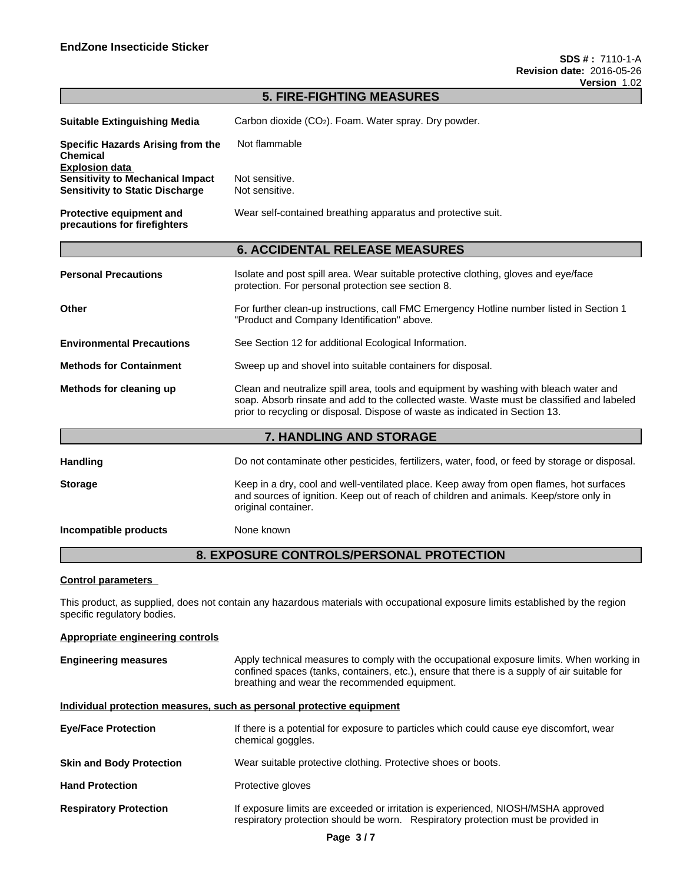|                                                                                                            | <b>5. FIRE-FIGHTING MEASURES</b>                                                                                                                                                                                                                                   |
|------------------------------------------------------------------------------------------------------------|--------------------------------------------------------------------------------------------------------------------------------------------------------------------------------------------------------------------------------------------------------------------|
| <b>Suitable Extinguishing Media</b>                                                                        | Carbon dioxide (CO <sub>2</sub> ). Foam. Water spray. Dry powder.                                                                                                                                                                                                  |
| Specific Hazards Arising from the<br><b>Chemical</b>                                                       | Not flammable                                                                                                                                                                                                                                                      |
| <b>Explosion data</b><br><b>Sensitivity to Mechanical Impact</b><br><b>Sensitivity to Static Discharge</b> | Not sensitive.<br>Not sensitive.                                                                                                                                                                                                                                   |
| <b>Protective equipment and</b><br>precautions for firefighters                                            | Wear self-contained breathing apparatus and protective suit.                                                                                                                                                                                                       |
|                                                                                                            | <b>6. ACCIDENTAL RELEASE MEASURES</b>                                                                                                                                                                                                                              |
| <b>Personal Precautions</b>                                                                                | Isolate and post spill area. Wear suitable protective clothing, gloves and eye/face<br>protection. For personal protection see section 8.                                                                                                                          |
| Other                                                                                                      | For further clean-up instructions, call FMC Emergency Hotline number listed in Section 1<br>"Product and Company Identification" above.                                                                                                                            |
| <b>Environmental Precautions</b>                                                                           | See Section 12 for additional Ecological Information.                                                                                                                                                                                                              |
| <b>Methods for Containment</b>                                                                             | Sweep up and shovel into suitable containers for disposal.                                                                                                                                                                                                         |
| Methods for cleaning up                                                                                    | Clean and neutralize spill area, tools and equipment by washing with bleach water and<br>soap. Absorb rinsate and add to the collected waste. Waste must be classified and labeled<br>prior to recycling or disposal. Dispose of waste as indicated in Section 13. |
|                                                                                                            | 7. HANDLING AND STORAGE                                                                                                                                                                                                                                            |
| <b>Handling</b>                                                                                            | Do not contaminate other pesticides, fertilizers, water, food, or feed by storage or disposal.                                                                                                                                                                     |
| <b>Storage</b>                                                                                             | Keep in a dry, cool and well-ventilated place. Keep away from open flames, hot surfaces<br>and sources of ignition. Keep out of reach of children and animals. Keep/store only in<br>original container.                                                           |
| Incompatible products                                                                                      | None known                                                                                                                                                                                                                                                         |

# **8. EXPOSURE CONTROLS/PERSONAL PROTECTION**

#### **Control parameters**

This product, as supplied, does not contain any hazardous materials with occupational exposure limits established by the region specific regulatory bodies.

| Appropriate engineering controls |                                                                                                                                                                                                                                            |  |  |  |
|----------------------------------|--------------------------------------------------------------------------------------------------------------------------------------------------------------------------------------------------------------------------------------------|--|--|--|
| <b>Engineering measures</b>      | Apply technical measures to comply with the occupational exposure limits. When working in<br>confined spaces (tanks, containers, etc.), ensure that there is a supply of air suitable for<br>breathing and wear the recommended equipment. |  |  |  |
|                                  | Individual protection measures, such as personal protective equipment                                                                                                                                                                      |  |  |  |
| <b>Eye/Face Protection</b>       | If there is a potential for exposure to particles which could cause eye discomfort, wear<br>chemical goggles.                                                                                                                              |  |  |  |
| <b>Skin and Body Protection</b>  | Wear suitable protective clothing. Protective shoes or boots.                                                                                                                                                                              |  |  |  |
| <b>Hand Protection</b>           | Protective gloves                                                                                                                                                                                                                          |  |  |  |
| <b>Respiratory Protection</b>    | If exposure limits are exceeded or irritation is experienced, NIOSH/MSHA approved<br>respiratory protection should be worn. Respiratory protection must be provided in                                                                     |  |  |  |
|                                  |                                                                                                                                                                                                                                            |  |  |  |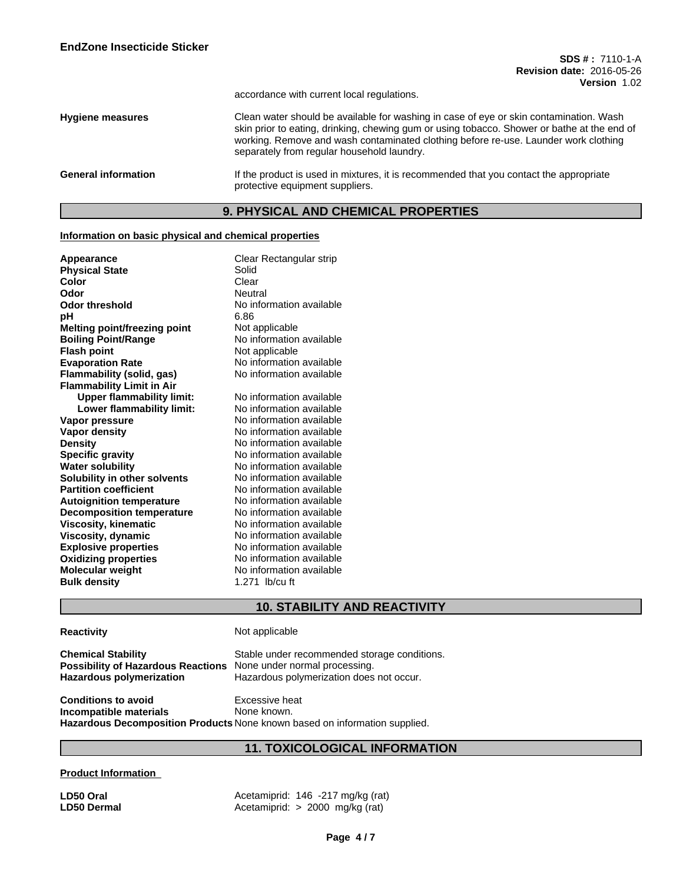accordance with current local regulations.

**Hygiene measures** Clean water should be available for washing in case of eye or skin contamination. Wash skin prior to eating, drinking, chewing gum or using tobacco. Shower or bathe at the end of working. Remove and wash contaminated clothing before re-use. Launder work clothing separately from regular household laundry.

#### **9. PHYSICAL AND CHEMICAL PROPERTIES**

#### **Information on basic physical and chemical properties**

| Appearance<br><b>Physical State</b><br>Color<br>Odor<br><b>Odor threshold</b><br>рH<br><b>Melting point/freezing point</b><br><b>Boiling Point/Range</b><br><b>Flash point</b><br><b>Evaporation Rate</b> | Clear Rectangular strip<br>Solid<br>Clear<br>Neutral<br>No information available<br>6.86<br>Not applicable<br>No information available<br>Not applicable<br>No information available |
|-----------------------------------------------------------------------------------------------------------------------------------------------------------------------------------------------------------|--------------------------------------------------------------------------------------------------------------------------------------------------------------------------------------|
| Flammability (solid, gas)                                                                                                                                                                                 | No information available                                                                                                                                                             |
| <b>Flammability Limit in Air</b>                                                                                                                                                                          |                                                                                                                                                                                      |
| <b>Upper flammability limit:</b>                                                                                                                                                                          | No information available                                                                                                                                                             |
| Lower flammability limit:                                                                                                                                                                                 | No information available                                                                                                                                                             |
| Vapor pressure                                                                                                                                                                                            | No information available                                                                                                                                                             |
| <b>Vapor density</b>                                                                                                                                                                                      | No information available                                                                                                                                                             |
| <b>Density</b>                                                                                                                                                                                            | No information available                                                                                                                                                             |
| <b>Specific gravity</b>                                                                                                                                                                                   | No information available                                                                                                                                                             |
| <b>Water solubility</b>                                                                                                                                                                                   | No information available                                                                                                                                                             |
| Solubility in other solvents                                                                                                                                                                              | No information available                                                                                                                                                             |
| <b>Partition coefficient</b>                                                                                                                                                                              | No information available                                                                                                                                                             |
| <b>Autoignition temperature</b>                                                                                                                                                                           | No information available                                                                                                                                                             |
| <b>Decomposition temperature</b>                                                                                                                                                                          | No information available                                                                                                                                                             |
| <b>Viscosity, kinematic</b>                                                                                                                                                                               | No information available                                                                                                                                                             |
| Viscosity, dynamic                                                                                                                                                                                        | No information available                                                                                                                                                             |
| <b>Explosive properties</b>                                                                                                                                                                               | No information available                                                                                                                                                             |
| <b>Oxidizing properties</b>                                                                                                                                                                               | No information available                                                                                                                                                             |
| Molecular weight                                                                                                                                                                                          | No information available                                                                                                                                                             |
| <b>Bulk density</b>                                                                                                                                                                                       | 1.271 lb/cu ft                                                                                                                                                                       |

# **10. STABILITY AND REACTIVITY**

#### **Reactivity Not applicable**

| <b>Chemical Stability</b>                                               | Stable under recommended storage conditions. |
|-------------------------------------------------------------------------|----------------------------------------------|
| <b>Possibility of Hazardous Reactions</b> None under normal processing. |                                              |
| Hazardous polymerization                                                | Hazardous polymerization does not occur.     |
|                                                                         |                                              |

**Conditions to avoid**<br> **Conditions**<br> **Incompatible materials**<br> **Alone known. Incompatible** materials **Hazardous Decomposition Products** None known based on information supplied.

# **11. TOXICOLOGICAL INFORMATION**

#### **Product Information**

**LD50 Oral Acetamiprid: 146 -217 mg/kg (rat)**<br> **LD50 Dermal Acetamiprid: > 2000 mg/kg (rat) LD50 Dermal** Acetamiprid: > 2000 mg/kg (rat)

General information **If the product is used in mixtures**, it is recommended that you contact the appropriate protective equipment suppliers.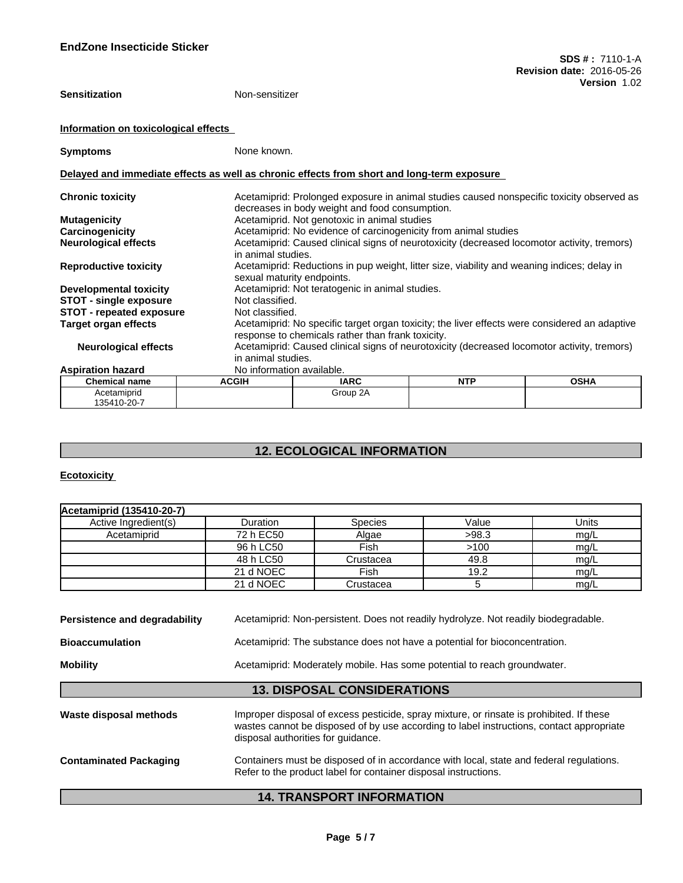| <b>Sensitization</b>                 | Non-sensitizer                                                                             |                                                                                                                           |            |                                                                                               |  |
|--------------------------------------|--------------------------------------------------------------------------------------------|---------------------------------------------------------------------------------------------------------------------------|------------|-----------------------------------------------------------------------------------------------|--|
| Information on toxicological effects |                                                                                            |                                                                                                                           |            |                                                                                               |  |
| <b>Symptoms</b>                      | None known.                                                                                |                                                                                                                           |            |                                                                                               |  |
|                                      | Delayed and immediate effects as well as chronic effects from short and long-term exposure |                                                                                                                           |            |                                                                                               |  |
| <b>Chronic toxicity</b>              |                                                                                            | decreases in body weight and food consumption.                                                                            |            | Acetamiprid: Prolonged exposure in animal studies caused nonspecific toxicity observed as     |  |
| <b>Mutagenicity</b>                  |                                                                                            | Acetamiprid. Not genotoxic in animal studies                                                                              |            |                                                                                               |  |
| Carcinogenicity                      |                                                                                            | Acetamiprid: No evidence of carcinogenicity from animal studies                                                           |            |                                                                                               |  |
| <b>Neurological effects</b>          | in animal studies.                                                                         |                                                                                                                           |            | Acetamiprid: Caused clinical signs of neurotoxicity (decreased locomotor activity, tremors)   |  |
| <b>Reproductive toxicity</b>         |                                                                                            | Acetamiprid: Reductions in pup weight, litter size, viability and weaning indices; delay in<br>sexual maturity endpoints. |            |                                                                                               |  |
| <b>Developmental toxicity</b>        |                                                                                            | Acetamiprid: Not teratogenic in animal studies.                                                                           |            |                                                                                               |  |
| <b>STOT - single exposure</b>        | Not classified.                                                                            |                                                                                                                           |            |                                                                                               |  |
| <b>STOT - repeated exposure</b>      | Not classified.                                                                            |                                                                                                                           |            |                                                                                               |  |
| Target organ effects                 |                                                                                            |                                                                                                                           |            | Acetamiprid: No specific target organ toxicity; the liver effects were considered an adaptive |  |
|                                      |                                                                                            | response to chemicals rather than frank toxicity.                                                                         |            |                                                                                               |  |
| <b>Neurological effects</b>          | in animal studies.                                                                         |                                                                                                                           |            | Acetamiprid: Caused clinical signs of neurotoxicity (decreased locomotor activity, tremors)   |  |
| <b>Aspiration hazard</b>             | No information available.                                                                  |                                                                                                                           |            |                                                                                               |  |
| <b>Chemical name</b>                 | <b>ACGIH</b>                                                                               | <b>IARC</b>                                                                                                               | <b>NTP</b> | <b>OSHA</b>                                                                                   |  |
| Acetamiprid<br>135410-20-7           |                                                                                            | Group 2A                                                                                                                  |            |                                                                                               |  |

# **12. ECOLOGICAL INFORMATION**

## **Ecotoxicity**

| Acetamiprid (135410-20-7) |           |                |       |       |
|---------------------------|-----------|----------------|-------|-------|
| Active Ingredient(s)      | Duration  | <b>Species</b> | Value | Units |
| Acetamiprid               | 72 h EC50 | Algae          | >98.3 | mg/L  |
|                           | 96 h LC50 | Fish           | >100  | mq/L  |
|                           | 48 h LC50 | Crustacea      | 49.8  | mg/L  |
|                           | 21 d NOEC | Fish           | 19.2  | mg/L  |
|                           | 21 d NOEC | Crustacea      |       | mg/L  |

| Persistence and degradability | Acetamiprid: Non-persistent. Does not readily hydrolyze. Not readily biodegradable.                                                                                                                                        |
|-------------------------------|----------------------------------------------------------------------------------------------------------------------------------------------------------------------------------------------------------------------------|
| <b>Bioaccumulation</b>        | Acetamiprid: The substance does not have a potential for bioconcentration.                                                                                                                                                 |
| <b>Mobility</b>               | Acetamiprid: Moderately mobile. Has some potential to reach groundwater.                                                                                                                                                   |
|                               | <b>13. DISPOSAL CONSIDERATIONS</b>                                                                                                                                                                                         |
| Waste disposal methods        | Improper disposal of excess pesticide, spray mixture, or rinsate is prohibited. If these<br>wastes cannot be disposed of by use according to label instructions, contact appropriate<br>disposal authorities for quidance. |
| <b>Contaminated Packaging</b> | Containers must be disposed of in accordance with local, state and federal regulations.<br>Refer to the product label for container disposal instructions.                                                                 |

# **14. TRANSPORT INFORMATION**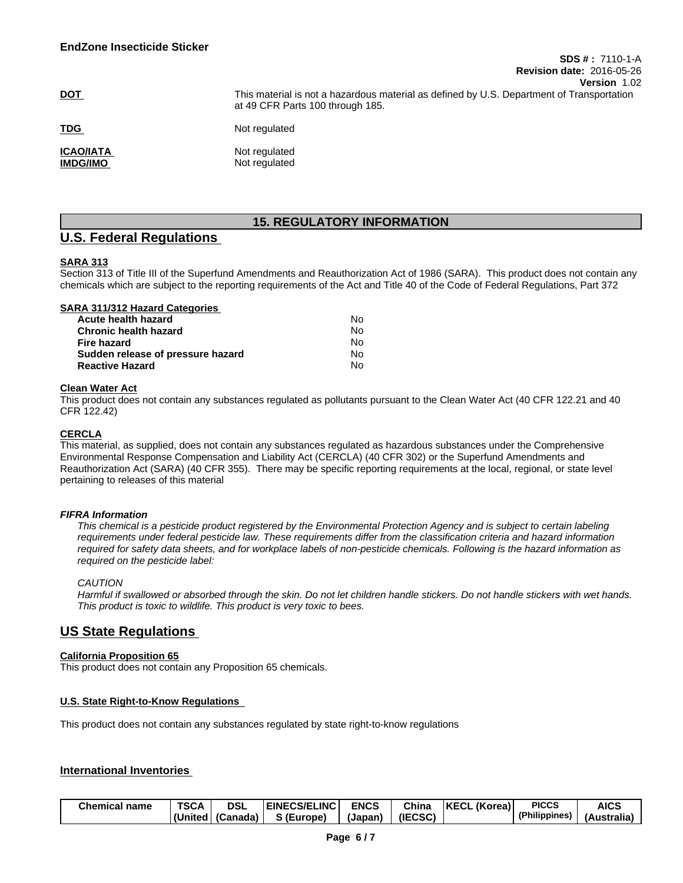|                                     | VGISIVII 1.VZ                                                                                                                 |
|-------------------------------------|-------------------------------------------------------------------------------------------------------------------------------|
| <u>DOT</u>                          | This material is not a hazardous material as defined by U.S. Department of Transportation<br>at 49 CFR Parts 100 through 185. |
| <b>TDG</b>                          | Not regulated                                                                                                                 |
| <b>ICAO/IATA</b><br><b>IMDG/IMO</b> | Not regulated<br>Not regulated                                                                                                |

# **15. REGULATORY INFORMATION**

## **U.S. Federal Regulations**

#### **SARA 313**

Section 313 of Title III of the Superfund Amendments and Reauthorization Act of 1986 (SARA). This product does not contain any chemicals which are subject to the reporting requirements of the Act and Title 40 of the Code of Federal Regulations, Part 372

| SARA 311/312 Hazard Categories    |    |  |
|-----------------------------------|----|--|
| Acute health hazard               | N٥ |  |
| <b>Chronic health hazard</b>      | No |  |
| Fire hazard                       | No |  |
| Sudden release of pressure hazard | No |  |
| <b>Reactive Hazard</b>            | N٥ |  |
|                                   |    |  |

#### **Clean Water Act**

This product does not contain any substances regulated as pollutants pursuant to the Clean Water Act (40 CFR 122.21 and 40 CFR 122.42)

### **CERCLA**

This material, as supplied, does not contain any substances regulated as hazardous substances under the Comprehensive Environmental Response Compensation and Liability Act (CERCLA) (40 CFR 302) or the Superfund Amendments and Reauthorization Act (SARA) (40 CFR 355). There may be specific reporting requirements at the local, regional, or state level pertaining to releases of this material

#### *FIFRA Information*

This chemical is a pesticide product registered by the Environmental Protection Agency and is subject to certain labeling requirements under federal pesticide law. These requirements differ from the classification criteria and hazard information required for safety data sheets, and for workplace labels of non-pesticide chemicals. Following is the hazard information as *required on the pesticide label:*

#### *CAUTION*

Harmful if swallowed or absorbed through the skin. Do not let children handle stickers. Do not handle stickers with wet hands. *This product is toxic to wildlife. This product is very toxic to bees.*

# **US State Regulations**

#### **California Proposition 65**

This product does not contain any Proposition 65 chemicals.

#### **U.S. State Right-to-Know Regulations**

This product does not contain any substances regulated by state right-to-know regulations

#### **International Inventories**

| <b>Chemical name</b> | TSCA    | <b>DSL</b> | <b>EINECS/ELINC</b> | <b>ENCS</b> | Chin    | (Korea)<br><b>KECL</b> | <b>PICCS</b>  | <b>AICS</b>     |
|----------------------|---------|------------|---------------------|-------------|---------|------------------------|---------------|-----------------|
|                      | (United | (Canada    | (Europe)            | (Japan      | (IECSC) |                        | (Philippines) | <br>(Australia) |